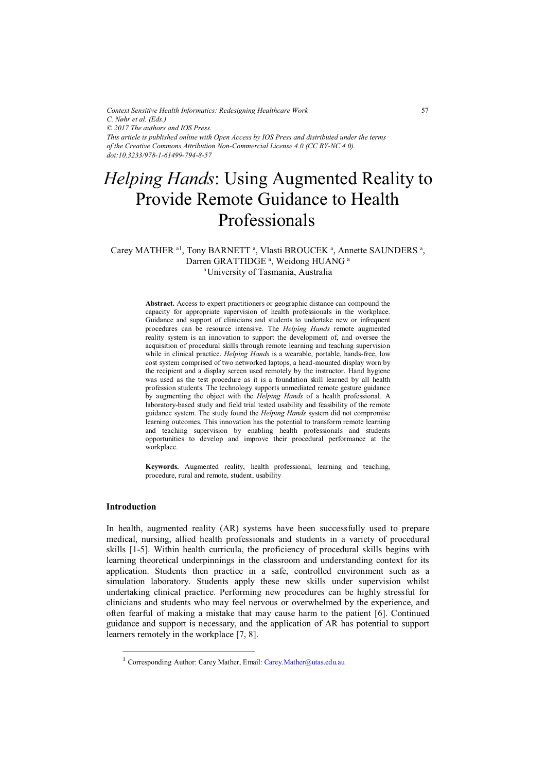*Context Sensitive Health Informatics: Redesigning Healthcare Work C. Nøhr et al. (Eds.) © 2017 The authors and IOS Press. This article is published online with Open Access by IOS Press and distributed under the terms of the Creative Commons Attribution Non-Commercial License 4.0 (CC BY-NC 4.0). doi:10.3233/978-1-61499-794-8-57*

# *Helping Hands*: Using Augmented Reality to Provide Remote Guidance to Health Professionals

# Carey MATHER <sup>a1</sup>, Tony BARNETT<sup>a</sup>, Vlasti BROUCEK<sup>a</sup>, Annette SAUNDERS<sup>a</sup>, Darren GRATTIDGE<sup>a</sup>, Weidong HUANG<sup>a</sup> aUniversity of Tasmania, Australia

**Abstract.** Access to expert practitioners or geographic distance can compound the capacity for appropriate supervision of health professionals in the workplace. Guidance and support of clinicians and students to undertake new or infrequent procedures can be resource intensive. The *Helping Hands* remote augmented reality system is an innovation to support the development of, and oversee the acquisition of procedural skills through remote learning and teaching supervision while in clinical practice. *Helping Hands* is a wearable, portable, hands-free, low cost system comprised of two networked laptops, a head-mounted display worn by the recipient and a display screen used remotely by the instructor. Hand hygiene was used as the test procedure as it is a foundation skill learned by all health profession students. The technology supports unmediated remote gesture guidance by augmenting the object with the *Helping Hands* of a health professional. A laboratory-based study and field trial tested usability and feasibility of the remote guidance system. The study found the *Helping Hands* system did not compromise learning outcomes. This innovation has the potential to transform remote learning and teaching supervision by enabling health professionals and students opportunities to develop and improve their procedural performance at the workplace.

**Keywords.** Augmented reality, health professional, learning and teaching, procedure, rural and remote, student, usability

## **Introduction**

-

In health, augmented reality (AR) systems have been successfully used to prepare medical, nursing, allied health professionals and students in a variety of procedural skills [1-5]. Within health curricula, the proficiency of procedural skills begins with learning theoretical underpinnings in the classroom and understanding context for its application. Students then practice in a safe, controlled environment such as a simulation laboratory. Students apply these new skills under supervision whilst undertaking clinical practice. Performing new procedures can be highly stressful for clinicians and students who may feel nervous or overwhelmed by the experience, and often fearful of making a mistake that may cause harm to the patient [6]. Continued guidance and support is necessary, and the application of AR has potential to support learners remotely in the workplace [7, 8].

<sup>&</sup>lt;sup>1</sup> Corresponding Author: Carey Mather, Email: Carey. Mather@utas.edu.au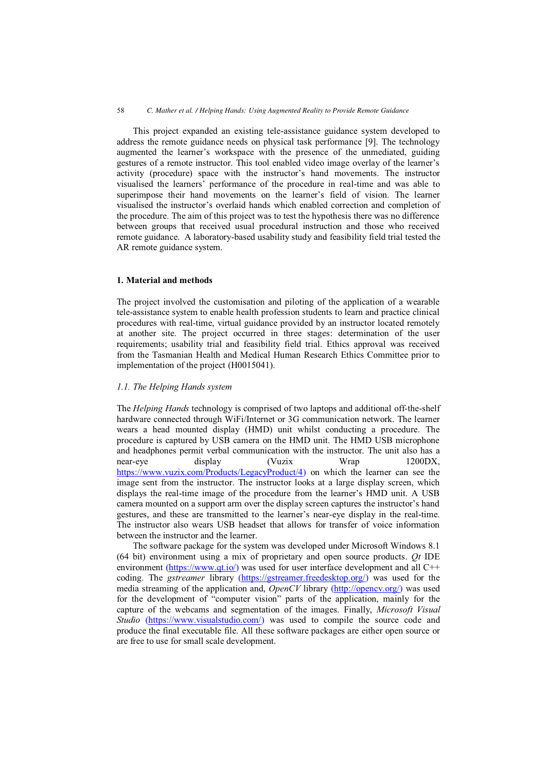This project expanded an existing tele-assistance guidance system developed to address the remote guidance needs on physical task performance [9]. The technology augmented the learner's workspace with the presence of the unmediated, guiding gestures of a remote instructor. This tool enabled video image overlay of the learner's activity (procedure) space with the instructor's hand movements. The instructor visualised the learners' performance of the procedure in real-time and was able to superimpose their hand movements on the learner's field of vision. The learner visualised the instructor's overlaid hands which enabled correction and completion of the procedure. The aim of this project was to test the hypothesis there was no difference between groups that received usual procedural instruction and those who received remote guidance. A laboratory-based usability study and feasibility field trial tested the AR remote guidance system.

# **1. Material and methods**

The project involved the customisation and piloting of the application of a wearable tele-assistance system to enable health profession students to learn and practice clinical procedures with real-time, virtual guidance provided by an instructor located remotely at another site. The project occurred in three stages: determination of the user requirements; usability trial and feasibility field trial. Ethics approval was received from the Tasmanian Health and Medical Human Research Ethics Committee prior to implementation of the project (H0015041).

# *1.1. The Helping Hands system*

The *Helping Hands* technology is comprised of two laptops and additional off-the-shelf hardware connected through WiFi/Internet or 3G communication network. The learner wears a head mounted display (HMD) unit whilst conducting a procedure. The procedure is captured by USB camera on the HMD unit. The HMD USB microphone and headphones permit verbal communication with the instructor. The unit also has a near-eye display (Vuzix Wrap 1200DX, [https://www.vuzix.com/Products/LegacyProduct/4\)](https://www.vuzix.com/Products/LegacyProduct/4) on which the learner can see the image sent from the instructor. The instructor looks at a large display screen, which displays the real-time image of the procedure from the learner's HMD unit. A USB camera mounted on a support arm over the display screen captures the instructor's hand gestures, and these are transmitted to the learner's near-eye display in the real-time. The instructor also wears USB headset that allows for transfer of voice information between the instructor and the learner.

The software package for the system was developed under Microsoft Windows 8.1 (64 bit) environment using a mix of proprietary and open source products. *Qt* IDE environment [\(https://www.qt.io/\)](https://www.qt.io/) was used for user interface development and all C++ coding. The *gstreamer* library [\(https://gstreamer.freedesktop.org/\)](https://gstreamer.freedesktop.org/) was used for the media streaming of the application and, *OpenCV* library [\(http://opencv.org/\)](http://opencv.org/) was used for the development of "computer vision" parts of the application, mainly for the capture of the webcams and segmentation of the images. Finally, *Microsoft Visual Studio* [\(https://www.visualstudio.com/\)](https://www.visualstudio.com/) was used to compile the source code and produce the final executable file. All these software packages are either open source or are free to use for small scale development.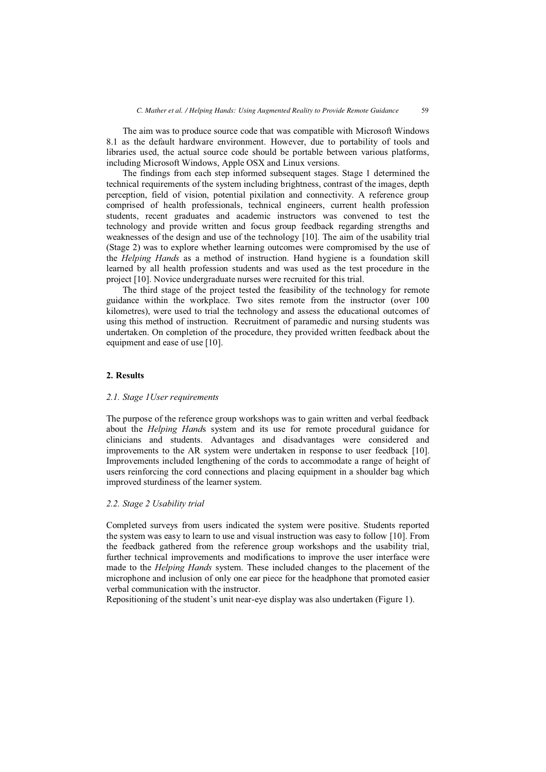The aim was to produce source code that was compatible with Microsoft Windows 8.1 as the default hardware environment. However, due to portability of tools and libraries used, the actual source code should be portable between various platforms, including Microsoft Windows, Apple OSX and Linux versions.

The findings from each step informed subsequent stages. Stage 1 determined the technical requirements of the system including brightness, contrast of the images, depth perception, field of vision, potential pixilation and connectivity. A reference group comprised of health professionals, technical engineers, current health profession students, recent graduates and academic instructors was convened to test the technology and provide written and focus group feedback regarding strengths and weaknesses of the design and use of the technology [10]. The aim of the usability trial (Stage 2) was to explore whether learning outcomes were compromised by the use of the *Helping Hands* as a method of instruction. Hand hygiene is a foundation skill learned by all health profession students and was used as the test procedure in the project [10]. Novice undergraduate nurses were recruited for this trial.

The third stage of the project tested the feasibility of the technology for remote guidance within the workplace. Two sites remote from the instructor (over 100 kilometres), were used to trial the technology and assess the educational outcomes of using this method of instruction. Recruitment of paramedic and nursing students was undertaken. On completion of the procedure, they provided written feedback about the equipment and ease of use [10].

## **2. Results**

#### *2.1. Stage 1User requirements*

The purpose of the reference group workshops was to gain written and verbal feedback about the *Helping Hand*s system and its use for remote procedural guidance for clinicians and students. Advantages and disadvantages were considered and improvements to the AR system were undertaken in response to user feedback [10]. Improvements included lengthening of the cords to accommodate a range of height of users reinforcing the cord connections and placing equipment in a shoulder bag which improved sturdiness of the learner system.

#### *2.2. Stage 2 Usability trial*

Completed surveys from users indicated the system were positive. Students reported the system was easy to learn to use and visual instruction was easy to follow [10]. From the feedback gathered from the reference group workshops and the usability trial, further technical improvements and modifications to improve the user interface were made to the *Helping Hands* system. These included changes to the placement of the microphone and inclusion of only one ear piece for the headphone that promoted easier verbal communication with the instructor.

Repositioning of the student's unit near-eye display was also undertaken (Figure 1).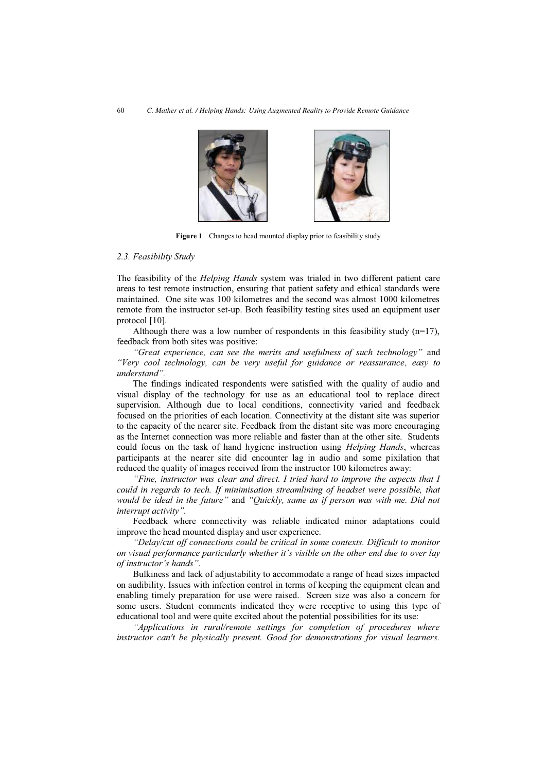

**Figure 1** Changes to head mounted display prior to feasibility study

#### *2.3. Feasibility Study*

The feasibility of the *Helping Hands* system was trialed in two different patient care areas to test remote instruction, ensuring that patient safety and ethical standards were maintained. One site was 100 kilometres and the second was almost 1000 kilometres remote from the instructor set-up. Both feasibility testing sites used an equipment user protocol [10].

Although there was a low number of respondents in this feasibility study  $(n=17)$ , feedback from both sites was positive:

*"Great experience, can see the merits and usefulness of such technology"* and *"Very cool technology, can be very useful for guidance or reassurance, easy to understand".*

The findings indicated respondents were satisfied with the quality of audio and visual display of the technology for use as an educational tool to replace direct supervision. Although due to local conditions, connectivity varied and feedback focused on the priorities of each location. Connectivity at the distant site was superior to the capacity of the nearer site. Feedback from the distant site was more encouraging as the Internet connection was more reliable and faster than at the other site. Students could focus on the task of hand hygiene instruction using *Helping Hands*, whereas participants at the nearer site did encounter lag in audio and some pixilation that reduced the quality of images received from the instructor 100 kilometres away:

*"Fine, instructor was clear and direct. I tried hard to improve the aspects that I could in regards to tech. If minimisation streamlining of headset were possible, that would be ideal in the future"* and *"Quickly, same as if person was with me. Did not interrupt activity".* 

Feedback where connectivity was reliable indicated minor adaptations could improve the head mounted display and user experience.

*"Delay/cut off connections could be critical in some contexts. Difficult to monitor on visual performance particularly whether it's visible on the other end due to over lay of instructor's hands".* 

Bulkiness and lack of adjustability to accommodate a range of head sizes impacted on audibility. Issues with infection control in terms of keeping the equipment clean and enabling timely preparation for use were raised. Screen size was also a concern for some users. Student comments indicated they were receptive to using this type of educational tool and were quite excited about the potential possibilities for its use:

*"Applications in rural/remote settings for completion of procedures where instructor can't be physically present. Good for demonstrations for visual learners.*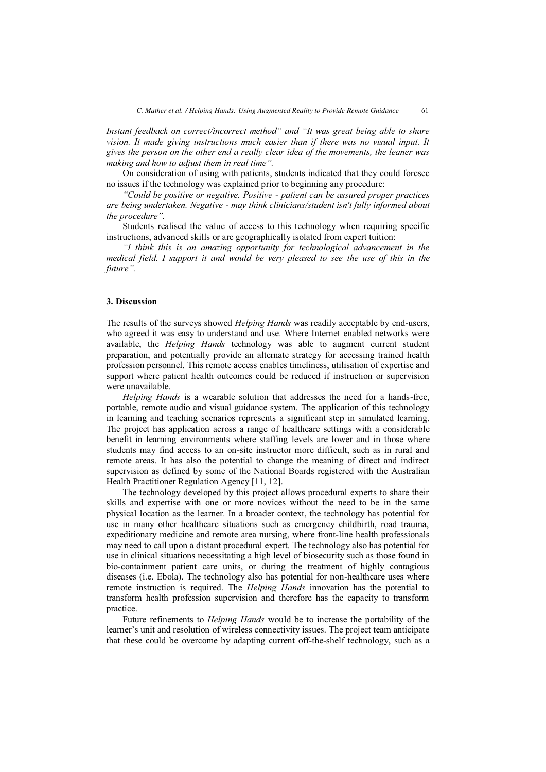*Instant feedback on correct/incorrect method" and "It was great being able to share vision. It made giving instructions much easier than if there was no visual input. It gives the person on the other end a really clear idea of the movements, the leaner was making and how to adjust them in real time".* 

On consideration of using with patients, students indicated that they could foresee no issues if the technology was explained prior to beginning any procedure:

*"Could be positive or negative. Positive - patient can be assured proper practices are being undertaken. Negative - may think clinicians/student isn't fully informed about the procedure".* 

Students realised the value of access to this technology when requiring specific instructions, advanced skills or are geographically isolated from expert tuition:

*"I think this is an amazing opportunity for technological advancement in the medical field. I support it and would be very pleased to see the use of this in the future".*

### **3. Discussion**

The results of the surveys showed *Helping Hands* was readily acceptable by end-users, who agreed it was easy to understand and use. Where Internet enabled networks were available, the *Helping Hands* technology was able to augment current student preparation, and potentially provide an alternate strategy for accessing trained health profession personnel. This remote access enables timeliness, utilisation of expertise and support where patient health outcomes could be reduced if instruction or supervision were unavailable.

*Helping Hands* is a wearable solution that addresses the need for a hands-free, portable, remote audio and visual guidance system. The application of this technology in learning and teaching scenarios represents a significant step in simulated learning. The project has application across a range of healthcare settings with a considerable benefit in learning environments where staffing levels are lower and in those where students may find access to an on-site instructor more difficult, such as in rural and remote areas. It has also the potential to change the meaning of direct and indirect supervision as defined by some of the National Boards registered with the Australian Health Practitioner Regulation Agency [11, 12].

The technology developed by this project allows procedural experts to share their skills and expertise with one or more novices without the need to be in the same physical location as the learner. In a broader context, the technology has potential for use in many other healthcare situations such as emergency childbirth, road trauma, expeditionary medicine and remote area nursing, where front-line health professionals may need to call upon a distant procedural expert. The technology also has potential for use in clinical situations necessitating a high level of biosecurity such as those found in bio-containment patient care units, or during the treatment of highly contagious diseases (i.e. Ebola). The technology also has potential for non-healthcare uses where remote instruction is required. The *Helping Hands* innovation has the potential to transform health profession supervision and therefore has the capacity to transform practice.

Future refinements to *Helping Hands* would be to increase the portability of the learner's unit and resolution of wireless connectivity issues. The project team anticipate that these could be overcome by adapting current off-the-shelf technology, such as a